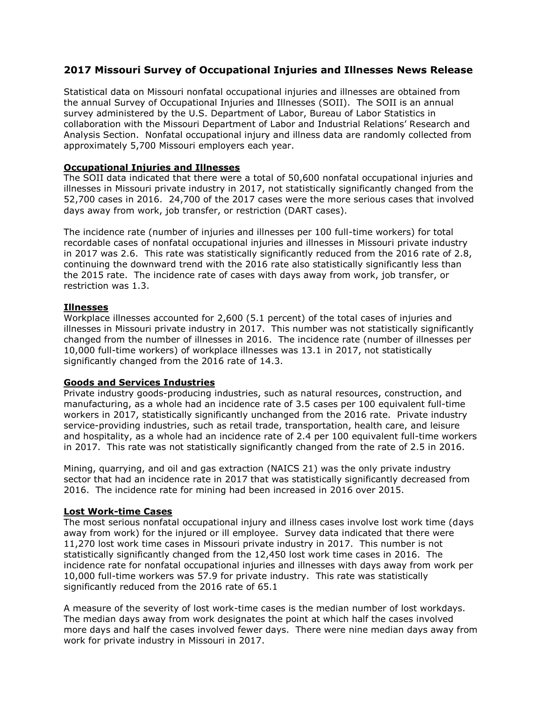# **2017 Missouri Survey of Occupational Injuries and Illnesses News Release**

Statistical data on Missouri nonfatal occupational injuries and illnesses are obtained from the annual Survey of Occupational Injuries and Illnesses (SOII). The SOII is an annual survey administered by the U.S. Department of Labor, Bureau of Labor Statistics in collaboration with the Missouri Department of Labor and Industrial Relations' Research and Analysis Section. Nonfatal occupational injury and illness data are randomly collected from approximately 5,700 Missouri employers each year.

## **Occupational Injuries and Illnesses**

The SOII data indicated that there were a total of 50,600 nonfatal occupational injuries and illnesses in Missouri private industry in 2017, not statistically significantly changed from the 52,700 cases in 2016. 24,700 of the 2017 cases were the more serious cases that involved days away from work, job transfer, or restriction (DART cases).

The incidence rate (number of injuries and illnesses per 100 full-time workers) for total recordable cases of nonfatal occupational injuries and illnesses in Missouri private industry in 2017 was 2.6. This rate was statistically significantly reduced from the 2016 rate of 2.8, continuing the downward trend with the 2016 rate also statistically significantly less than the 2015 rate. The incidence rate of cases with days away from work, job transfer, or restriction was 1.3.

### **Illnesses**

Workplace illnesses accounted for 2,600 (5.1 percent) of the total cases of injuries and illnesses in Missouri private industry in 2017. This number was not statistically significantly changed from the number of illnesses in 2016. The incidence rate (number of illnesses per 10,000 full-time workers) of workplace illnesses was 13.1 in 2017, not statistically significantly changed from the 2016 rate of 14.3.

### **Goods and Services Industries**

Private industry goods-producing industries, such as natural resources, construction, and manufacturing, as a whole had an incidence rate of 3.5 cases per 100 equivalent full-time workers in 2017, statistically significantly unchanged from the 2016 rate. Private industry service-providing industries, such as retail trade, transportation, health care, and leisure and hospitality, as a whole had an incidence rate of 2.4 per 100 equivalent full-time workers in 2017. This rate was not statistically significantly changed from the rate of 2.5 in 2016.

Mining, quarrying, and oil and gas extraction (NAICS 21) was the only private industry sector that had an incidence rate in 2017 that was statistically significantly decreased from 2016. The incidence rate for mining had been increased in 2016 over 2015.

## **Lost Work-time Cases**

The most serious nonfatal occupational injury and illness cases involve lost work time (days away from work) for the injured or ill employee. Survey data indicated that there were 11,270 lost work time cases in Missouri private industry in 2017. This number is not statistically significantly changed from the 12,450 lost work time cases in 2016. The incidence rate for nonfatal occupational injuries and illnesses with days away from work per 10,000 full-time workers was 57.9 for private industry. This rate was statistically significantly reduced from the 2016 rate of 65.1

A measure of the severity of lost work-time cases is the median number of lost workdays. The median days away from work designates the point at which half the cases involved more days and half the cases involved fewer days. There were nine median days away from work for private industry in Missouri in 2017.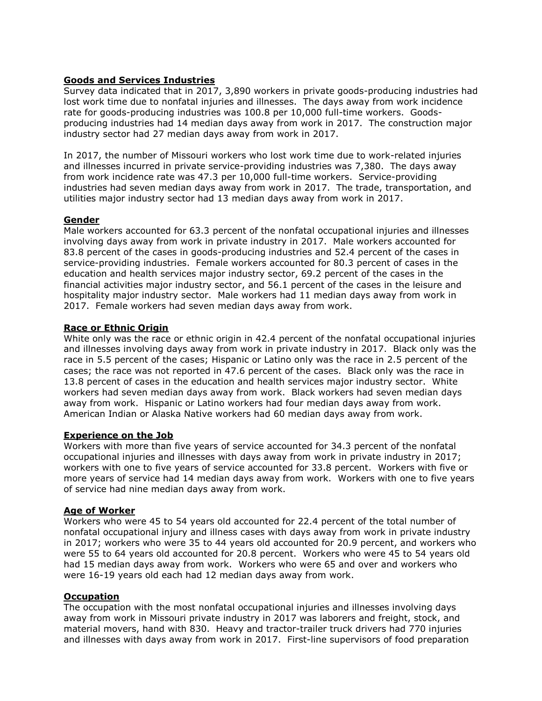## **Goods and Services Industries**

Survey data indicated that in 2017, 3,890 workers in private goods-producing industries had lost work time due to nonfatal injuries and illnesses. The days away from work incidence rate for goods-producing industries was 100.8 per 10,000 full-time workers. Goodsproducing industries had 14 median days away from work in 2017. The construction major industry sector had 27 median days away from work in 2017.

In 2017, the number of Missouri workers who lost work time due to work-related injuries and illnesses incurred in private service-providing industries was 7,380. The days away from work incidence rate was 47.3 per 10,000 full-time workers. Service-providing industries had seven median days away from work in 2017. The trade, transportation, and utilities major industry sector had 13 median days away from work in 2017.

# **Gender**

Male workers accounted for 63.3 percent of the nonfatal occupational injuries and illnesses involving days away from work in private industry in 2017. Male workers accounted for 83.8 percent of the cases in goods-producing industries and 52.4 percent of the cases in service-providing industries. Female workers accounted for 80.3 percent of cases in the education and health services major industry sector, 69.2 percent of the cases in the financial activities major industry sector, and 56.1 percent of the cases in the leisure and hospitality major industry sector. Male workers had 11 median days away from work in 2017. Female workers had seven median days away from work.

# **Race or Ethnic Origin**

White only was the race or ethnic origin in 42.4 percent of the nonfatal occupational injuries and illnesses involving days away from work in private industry in 2017. Black only was the race in 5.5 percent of the cases; Hispanic or Latino only was the race in 2.5 percent of the cases; the race was not reported in 47.6 percent of the cases. Black only was the race in 13.8 percent of cases in the education and health services major industry sector. White workers had seven median days away from work. Black workers had seven median days away from work. Hispanic or Latino workers had four median days away from work. American Indian or Alaska Native workers had 60 median days away from work.

### **Experience on the Job**

Workers with more than five years of service accounted for 34.3 percent of the nonfatal occupational injuries and illnesses with days away from work in private industry in 2017; workers with one to five years of service accounted for 33.8 percent. Workers with five or more years of service had 14 median days away from work. Workers with one to five years of service had nine median days away from work.

### **Age of Worker**

Workers who were 45 to 54 years old accounted for 22.4 percent of the total number of nonfatal occupational injury and illness cases with days away from work in private industry in 2017; workers who were 35 to 44 years old accounted for 20.9 percent, and workers who were 55 to 64 years old accounted for 20.8 percent. Workers who were 45 to 54 years old had 15 median days away from work. Workers who were 65 and over and workers who were 16-19 years old each had 12 median days away from work.

### **Occupation**

The occupation with the most nonfatal occupational injuries and illnesses involving days away from work in Missouri private industry in 2017 was laborers and freight, stock, and material movers, hand with 830. Heavy and tractor-trailer truck drivers had 770 injuries and illnesses with days away from work in 2017. First-line supervisors of food preparation